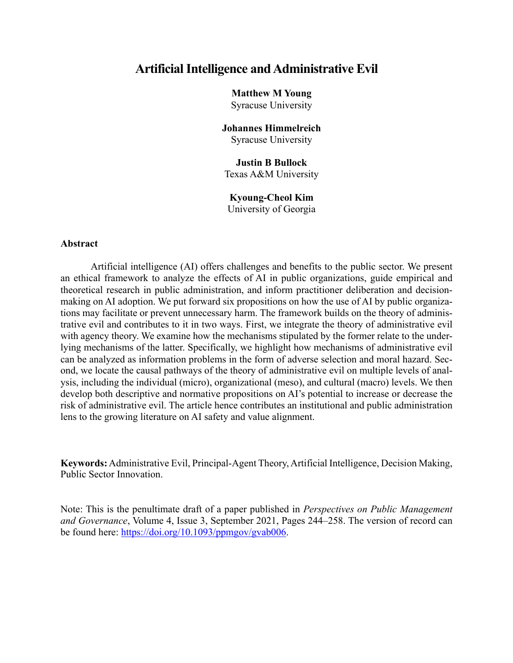# **Artificial Intelligence and Administrative Evil**

**Matthew M Young**

Syracuse University

**Johannes Himmelreich** Syracuse University

**Justin B Bullock** Texas A&M University

# **Kyoung-Cheol Kim**

University of Georgia

#### **Abstract**

Artificial intelligence (AI) offers challenges and benefits to the public sector. We present an ethical framework to analyze the effects of AI in public organizations, guide empirical and theoretical research in public administration, and inform practitioner deliberation and decisionmaking on AI adoption. We put forward six propositions on how the use of AI by public organizations may facilitate or prevent unnecessary harm. The framework builds on the theory of administrative evil and contributes to it in two ways. First, we integrate the theory of administrative evil with agency theory. We examine how the mechanisms stipulated by the former relate to the underlying mechanisms of the latter. Specifically, we highlight how mechanisms of administrative evil can be analyzed as information problems in the form of adverse selection and moral hazard. Second, we locate the causal pathways of the theory of administrative evil on multiple levels of analysis, including the individual (micro), organizational (meso), and cultural (macro) levels. We then develop both descriptive and normative propositions on AI's potential to increase or decrease the risk of administrative evil. The article hence contributes an institutional and public administration lens to the growing literature on AI safety and value alignment.

**Keywords:** Administrative Evil, Principal-Agent Theory, Artificial Intelligence, Decision Making, Public Sector Innovation.

Note: This is the penultimate draft of a paper published in *Perspectives on Public Management and Governance*, Volume 4, Issue 3, September 2021, Pages 244–258. The version of record can be found here: https://doi.org/10.1093/ppmgov/gvab006.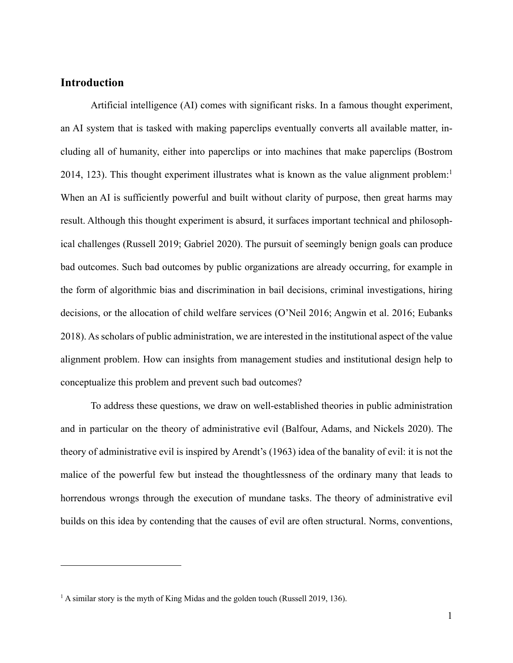# **Introduction**

Artificial intelligence (AI) comes with significant risks. In a famous thought experiment, an AI system that is tasked with making paperclips eventually converts all available matter, including all of humanity, either into paperclips or into machines that make paperclips (Bostrom 2014, 123). This thought experiment illustrates what is known as the value alignment problem:<sup>1</sup> When an AI is sufficiently powerful and built without clarity of purpose, then great harms may result. Although this thought experiment is absurd, it surfaces important technical and philosophical challenges (Russell 2019; Gabriel 2020). The pursuit of seemingly benign goals can produce bad outcomes. Such bad outcomes by public organizations are already occurring, for example in the form of algorithmic bias and discrimination in bail decisions, criminal investigations, hiring decisions, or the allocation of child welfare services (O'Neil 2016; Angwin et al. 2016; Eubanks 2018). As scholars of public administration, we are interested in the institutional aspect of the value alignment problem. How can insights from management studies and institutional design help to conceptualize this problem and prevent such bad outcomes?

To address these questions, we draw on well-established theories in public administration and in particular on the theory of administrative evil (Balfour, Adams, and Nickels 2020). The theory of administrative evil is inspired by Arendt's (1963) idea of the banality of evil: it is not the malice of the powerful few but instead the thoughtlessness of the ordinary many that leads to horrendous wrongs through the execution of mundane tasks. The theory of administrative evil builds on this idea by contending that the causes of evil are often structural. Norms, conventions,

<sup>&</sup>lt;sup>1</sup> A similar story is the myth of King Midas and the golden touch (Russell 2019, 136).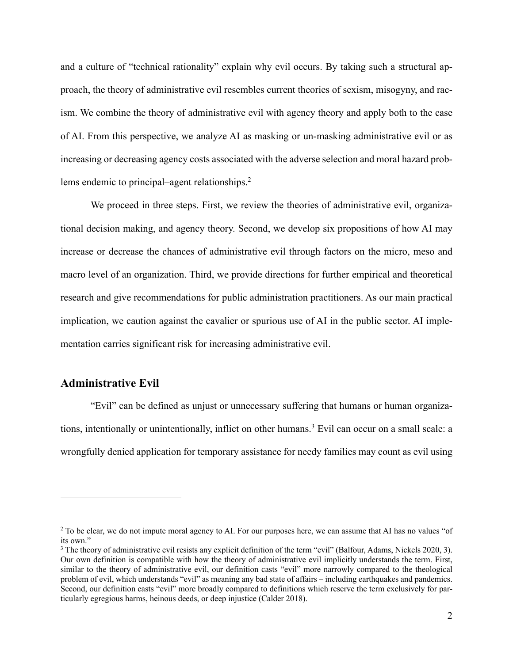and a culture of "technical rationality" explain why evil occurs. By taking such a structural approach, the theory of administrative evil resembles current theories of sexism, misogyny, and racism. We combine the theory of administrative evil with agency theory and apply both to the case of AI. From this perspective, we analyze AI as masking or un-masking administrative evil or as increasing or decreasing agency costs associated with the adverse selection and moral hazard problems endemic to principal–agent relationships. 2

We proceed in three steps. First, we review the theories of administrative evil, organizational decision making, and agency theory. Second, we develop six propositions of how AI may increase or decrease the chances of administrative evil through factors on the micro, meso and macro level of an organization. Third, we provide directions for further empirical and theoretical research and give recommendations for public administration practitioners. As our main practical implication, we caution against the cavalier or spurious use of AI in the public sector. AI implementation carries significant risk for increasing administrative evil.

# **Administrative Evil**

"Evil" can be defined as unjust or unnecessary suffering that humans or human organizations, intentionally or unintentionally, inflict on other humans. <sup>3</sup> Evil can occur on a small scale: a wrongfully denied application for temporary assistance for needy families may count as evil using

<sup>&</sup>lt;sup>2</sup> To be clear, we do not impute moral agency to AI. For our purposes here, we can assume that AI has no values "of its own."

<sup>&</sup>lt;sup>3</sup> The theory of administrative evil resists any explicit definition of the term "evil" (Balfour, Adams, Nickels 2020, 3). Our own definition is compatible with how the theory of administrative evil implicitly understands the term. First, similar to the theory of administrative evil, our definition casts "evil" more narrowly compared to the theological problem of evil, which understands "evil" as meaning any bad state of affairs – including earthquakes and pandemics. Second, our definition casts "evil" more broadly compared to definitions which reserve the term exclusively for particularly egregious harms, heinous deeds, or deep injustice (Calder 2018).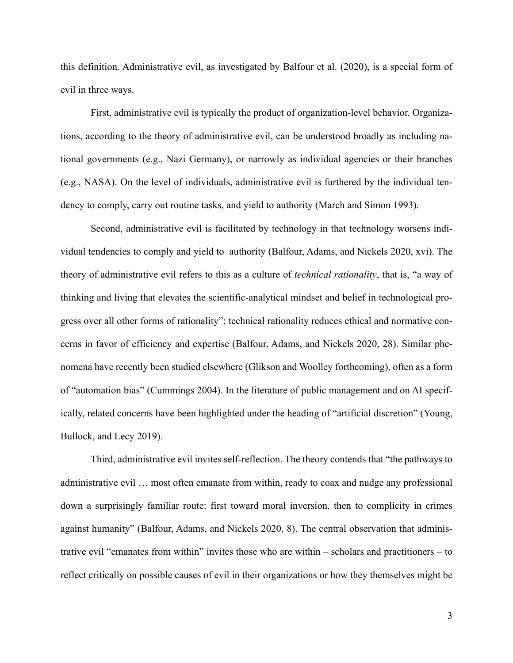this definition. Administrative evil, as investigated by Balfour et al. (2020), is a special form of evil in three ways.

First, administrative evil is typically the product of organization-level behavior. Organizations, according to the theory of administrative evil, can be understood broadly as including national governments (e.g., Nazi Germany), or narrowly as individual agencies or their branches (e.g., NASA). On the level of individuals, administrative evil is furthered by the individual tendency to comply, carry out routine tasks, and yield to authority (March and Simon 1993).

Second, administrative evil is facilitated by technology in that technology worsens individual tendencies to comply and yield to authority (Balfour, Adams, and Nickels 2020, xvi). The theory of administrative evil refers to this as a culture of *technical rationality*, that is, "a way of thinking and living that elevates the scientific-analytical mindset and belief in technological progress over all other forms of rationality"; technical rationality reduces ethical and normative concerns in favor of efficiency and expertise (Balfour, Adams, and Nickels 2020, 28). Similar phenomena have recently been studied elsewhere (Glikson and Woolley forthcoming), often as a form of "automation bias" (Cummings 2004). In the literature of public management and on AI specifically, related concerns have been highlighted under the heading of "artificial discretion" (Young, Bullock, and Lecy 2019).

Third, administrative evil invites self-reflection. The theory contends that "the pathways to administrative evil … most often emanate from within, ready to coax and nudge any professional down a surprisingly familiar route: first toward moral inversion, then to complicity in crimes against humanity" (Balfour, Adams, and Nickels 2020, 8). The central observation that administrative evil "emanates from within" invites those who are within – scholars and practitioners – to reflect critically on possible causes of evil in their organizations or how they themselves might be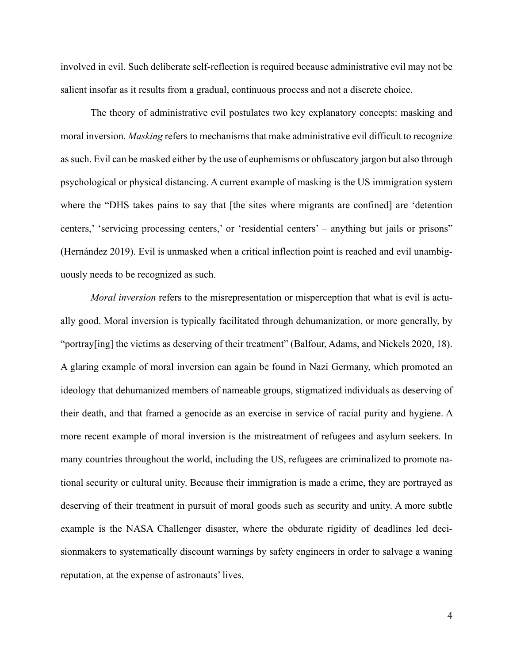involved in evil. Such deliberate self-reflection is required because administrative evil may not be salient insofar as it results from a gradual, continuous process and not a discrete choice.

The theory of administrative evil postulates two key explanatory concepts: masking and moral inversion. *Masking* refers to mechanisms that make administrative evil difficult to recognize as such. Evil can be masked either by the use of euphemisms or obfuscatory jargon but also through psychological or physical distancing. A current example of masking is the US immigration system where the "DHS takes pains to say that [the sites where migrants are confined] are 'detention centers,' 'servicing processing centers,' or 'residential centers' – anything but jails or prisons" (Hernández 2019). Evil is unmasked when a critical inflection point is reached and evil unambiguously needs to be recognized as such.

*Moral inversion* refers to the misrepresentation or misperception that what is evil is actually good. Moral inversion is typically facilitated through dehumanization, or more generally, by "portray[ing] the victims as deserving of their treatment" (Balfour, Adams, and Nickels 2020, 18). A glaring example of moral inversion can again be found in Nazi Germany, which promoted an ideology that dehumanized members of nameable groups, stigmatized individuals as deserving of their death, and that framed a genocide as an exercise in service of racial purity and hygiene. A more recent example of moral inversion is the mistreatment of refugees and asylum seekers. In many countries throughout the world, including the US, refugees are criminalized to promote national security or cultural unity. Because their immigration is made a crime, they are portrayed as deserving of their treatment in pursuit of moral goods such as security and unity. A more subtle example is the NASA Challenger disaster, where the obdurate rigidity of deadlines led decisionmakers to systematically discount warnings by safety engineers in order to salvage a waning reputation, at the expense of astronauts' lives.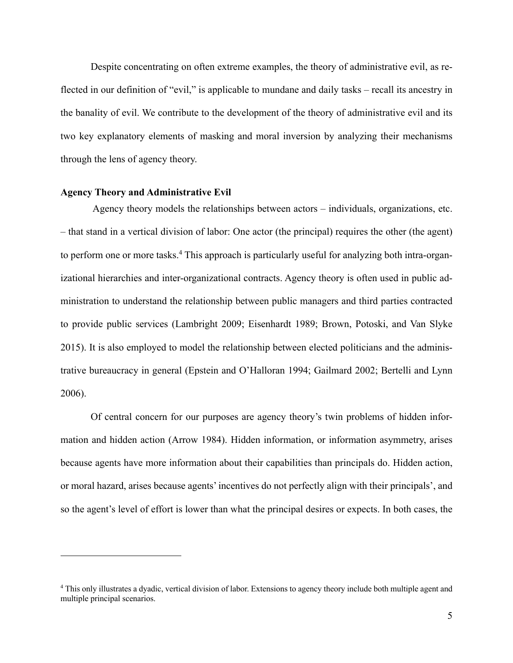Despite concentrating on often extreme examples, the theory of administrative evil, as reflected in our definition of "evil," is applicable to mundane and daily tasks – recall its ancestry in the banality of evil. We contribute to the development of the theory of administrative evil and its two key explanatory elements of masking and moral inversion by analyzing their mechanisms through the lens of agency theory.

#### **Agency Theory and Administrative Evil**

Agency theory models the relationships between actors – individuals, organizations, etc. – that stand in a vertical division of labor: One actor (the principal) requires the other (the agent) to perform one or more tasks. <sup>4</sup> This approach is particularly useful for analyzing both intra-organizational hierarchies and inter-organizational contracts. Agency theory is often used in public administration to understand the relationship between public managers and third parties contracted to provide public services (Lambright 2009; Eisenhardt 1989; Brown, Potoski, and Van Slyke 2015). It is also employed to model the relationship between elected politicians and the administrative bureaucracy in general (Epstein and O'Halloran 1994; Gailmard 2002; Bertelli and Lynn 2006).

Of central concern for our purposes are agency theory's twin problems of hidden information and hidden action (Arrow 1984). Hidden information, or information asymmetry, arises because agents have more information about their capabilities than principals do. Hidden action, or moral hazard, arises because agents' incentives do not perfectly align with their principals', and so the agent's level of effort is lower than what the principal desires or expects. In both cases, the

<sup>4</sup> This only illustrates a dyadic, vertical division of labor. Extensions to agency theory include both multiple agent and multiple principal scenarios.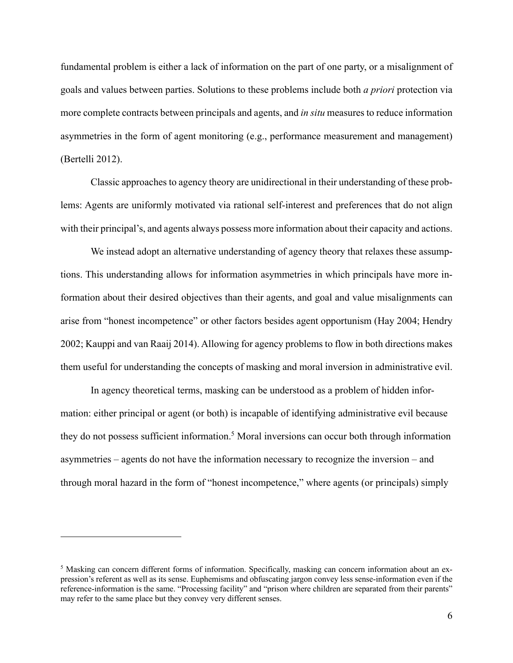fundamental problem is either a lack of information on the part of one party, or a misalignment of goals and values between parties. Solutions to these problems include both *a priori* protection via more complete contracts between principals and agents, and *in situ* measures to reduce information asymmetries in the form of agent monitoring (e.g., performance measurement and management) (Bertelli 2012).

Classic approaches to agency theory are unidirectional in their understanding of these problems: Agents are uniformly motivated via rational self-interest and preferences that do not align with their principal's, and agents always possess more information about their capacity and actions.

We instead adopt an alternative understanding of agency theory that relaxes these assumptions. This understanding allows for information asymmetries in which principals have more information about their desired objectives than their agents, and goal and value misalignments can arise from "honest incompetence" or other factors besides agent opportunism (Hay 2004; Hendry 2002; Kauppi and van Raaij 2014). Allowing for agency problems to flow in both directions makes them useful for understanding the concepts of masking and moral inversion in administrative evil.

In agency theoretical terms, masking can be understood as a problem of hidden information: either principal or agent (or both) is incapable of identifying administrative evil because they do not possess sufficient information. <sup>5</sup> Moral inversions can occur both through information asymmetries – agents do not have the information necessary to recognize the inversion – and through moral hazard in the form of "honest incompetence," where agents (or principals) simply

<sup>5</sup> Masking can concern different forms of information. Specifically, masking can concern information about an expression's referent as well as its sense. Euphemisms and obfuscating jargon convey less sense-information even if the reference-information is the same. "Processing facility" and "prison where children are separated from their parents" may refer to the same place but they convey very different senses.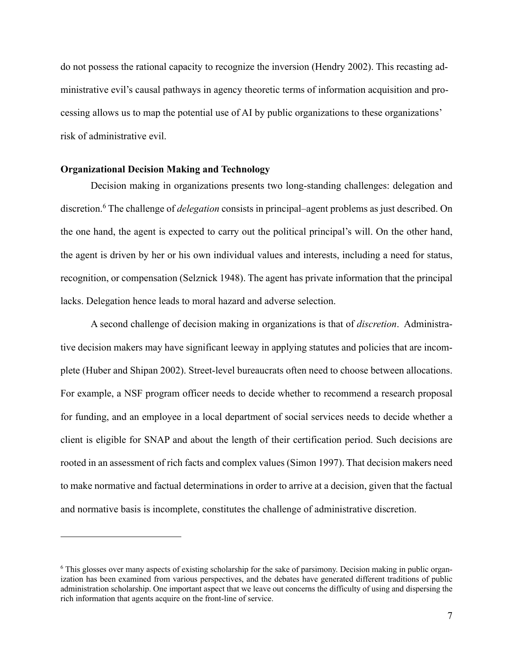do not possess the rational capacity to recognize the inversion (Hendry 2002). This recasting administrative evil's causal pathways in agency theoretic terms of information acquisition and processing allows us to map the potential use of AI by public organizations to these organizations' risk of administrative evil.

#### **Organizational Decision Making and Technology**

Decision making in organizations presents two long-standing challenges: delegation and discretion.6 The challenge of *delegation* consists in principal–agent problems as just described. On the one hand, the agent is expected to carry out the political principal's will. On the other hand, the agent is driven by her or his own individual values and interests, including a need for status, recognition, or compensation (Selznick 1948). The agent has private information that the principal lacks. Delegation hence leads to moral hazard and adverse selection.

A second challenge of decision making in organizations is that of *discretion*. Administrative decision makers may have significant leeway in applying statutes and policies that are incomplete (Huber and Shipan 2002). Street-level bureaucrats often need to choose between allocations. For example, a NSF program officer needs to decide whether to recommend a research proposal for funding, and an employee in a local department of social services needs to decide whether a client is eligible for SNAP and about the length of their certification period. Such decisions are rooted in an assessment of rich facts and complex values (Simon 1997). That decision makers need to make normative and factual determinations in order to arrive at a decision, given that the factual and normative basis is incomplete, constitutes the challenge of administrative discretion.

<sup>&</sup>lt;sup>6</sup> This glosses over many aspects of existing scholarship for the sake of parsimony. Decision making in public organization has been examined from various perspectives, and the debates have generated different traditions of public administration scholarship. One important aspect that we leave out concerns the difficulty of using and dispersing the rich information that agents acquire on the front-line of service.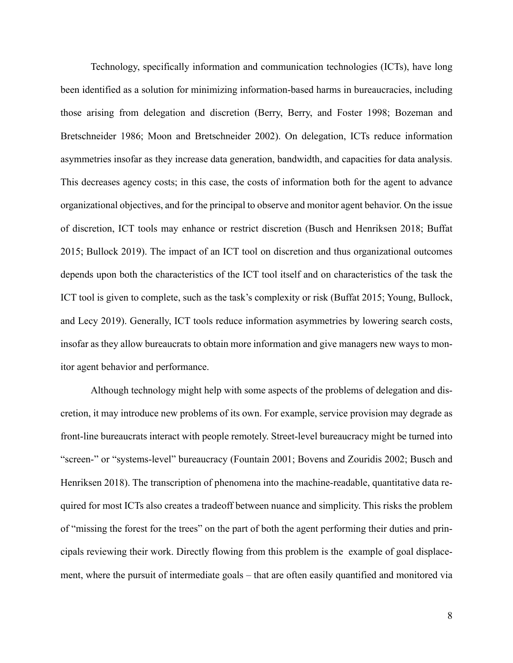Technology, specifically information and communication technologies (ICTs), have long been identified as a solution for minimizing information-based harms in bureaucracies, including those arising from delegation and discretion (Berry, Berry, and Foster 1998; Bozeman and Bretschneider 1986; Moon and Bretschneider 2002). On delegation, ICTs reduce information asymmetries insofar as they increase data generation, bandwidth, and capacities for data analysis. This decreases agency costs; in this case, the costs of information both for the agent to advance organizational objectives, and for the principal to observe and monitor agent behavior. On the issue of discretion, ICT tools may enhance or restrict discretion (Busch and Henriksen 2018; Buffat 2015; Bullock 2019). The impact of an ICT tool on discretion and thus organizational outcomes depends upon both the characteristics of the ICT tool itself and on characteristics of the task the ICT tool is given to complete, such as the task's complexity or risk (Buffat 2015; Young, Bullock, and Lecy 2019). Generally, ICT tools reduce information asymmetries by lowering search costs, insofar as they allow bureaucrats to obtain more information and give managers new ways to monitor agent behavior and performance.

Although technology might help with some aspects of the problems of delegation and discretion, it may introduce new problems of its own. For example, service provision may degrade as front-line bureaucrats interact with people remotely. Street-level bureaucracy might be turned into "screen-" or "systems-level" bureaucracy (Fountain 2001; Bovens and Zouridis 2002; Busch and Henriksen 2018). The transcription of phenomena into the machine-readable, quantitative data required for most ICTs also creates a tradeoff between nuance and simplicity. This risks the problem of "missing the forest for the trees" on the part of both the agent performing their duties and principals reviewing their work. Directly flowing from this problem is the example of goal displacement, where the pursuit of intermediate goals – that are often easily quantified and monitored via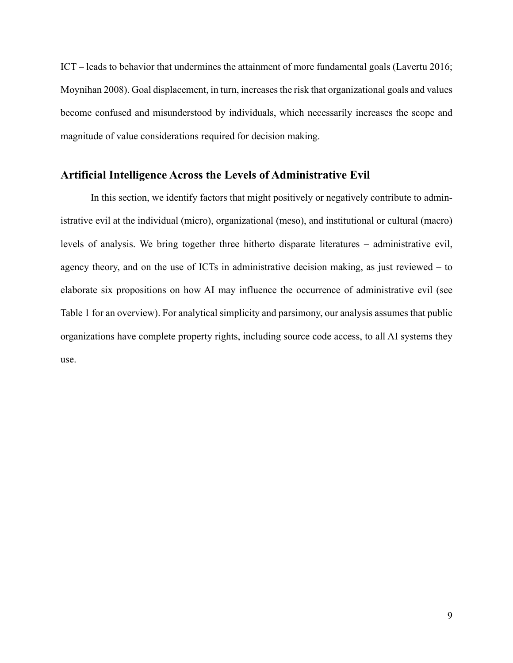ICT – leads to behavior that undermines the attainment of more fundamental goals (Lavertu 2016; Moynihan 2008). Goal displacement, in turn, increases the risk that organizational goals and values become confused and misunderstood by individuals, which necessarily increases the scope and magnitude of value considerations required for decision making.

### **Artificial Intelligence Across the Levels of Administrative Evil**

In this section, we identify factors that might positively or negatively contribute to administrative evil at the individual (micro), organizational (meso), and institutional or cultural (macro) levels of analysis. We bring together three hitherto disparate literatures – administrative evil, agency theory, and on the use of ICTs in administrative decision making, as just reviewed – to elaborate six propositions on how AI may influence the occurrence of administrative evil (see Table 1 for an overview). For analytical simplicity and parsimony, our analysis assumes that public organizations have complete property rights, including source code access, to all AI systems they use.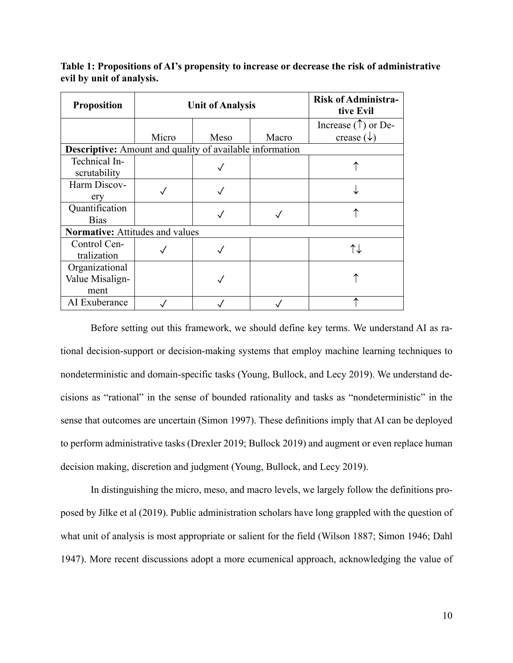| <b>Proposition</b>                                       | <b>Unit of Analysis</b> |      |       | <b>Risk of Administra-</b><br>tive Evil |
|----------------------------------------------------------|-------------------------|------|-------|-----------------------------------------|
|                                                          |                         |      |       | Increase $(\uparrow)$ or De-            |
|                                                          | Micro                   | Meso | Macro | crease $(\downarrow$                    |
| Descriptive: Amount and quality of available information |                         |      |       |                                         |
| Technical In-<br>scrutability                            |                         |      |       |                                         |
| Harm Discov-<br>ery                                      |                         |      |       |                                         |
| Quantification<br><b>Bias</b>                            |                         |      |       |                                         |
| <b>Normative:</b> Attitudes and values                   |                         |      |       |                                         |
| Control Cen-<br>tralization                              |                         |      |       | ᡗ↓                                      |
| Organizational<br>Value Misalign-<br>ment                |                         |      |       |                                         |
| AI Exuberance                                            |                         |      |       |                                         |

**Table 1: Propositions of AI's propensity to increase or decrease the risk of administrative evil by unit of analysis.**

Before setting out this framework, we should define key terms. We understand AI as rational decision-support or decision-making systems that employ machine learning techniques to nondeterministic and domain-specific tasks (Young, Bullock, and Lecy 2019). We understand decisions as "rational" in the sense of bounded rationality and tasks as "nondeterministic" in the sense that outcomes are uncertain (Simon 1997). These definitions imply that AI can be deployed to perform administrative tasks (Drexler 2019; Bullock 2019) and augment or even replace human decision making, discretion and judgment (Young, Bullock, and Lecy 2019).

In distinguishing the micro, meso, and macro levels, we largely follow the definitions proposed by Jilke et al (2019). Public administration scholars have long grappled with the question of what unit of analysis is most appropriate or salient for the field (Wilson 1887; Simon 1946; Dahl 1947). More recent discussions adopt a more ecumenical approach, acknowledging the value of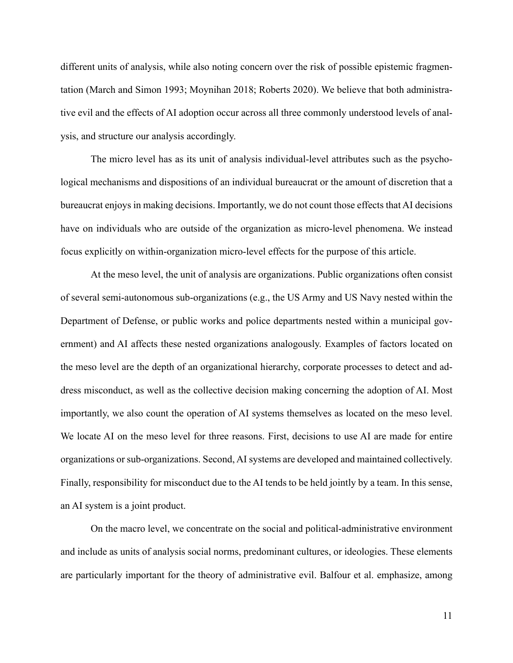different units of analysis, while also noting concern over the risk of possible epistemic fragmentation (March and Simon 1993; Moynihan 2018; Roberts 2020). We believe that both administrative evil and the effects of AI adoption occur across all three commonly understood levels of analysis, and structure our analysis accordingly.

The micro level has as its unit of analysis individual-level attributes such as the psychological mechanisms and dispositions of an individual bureaucrat or the amount of discretion that a bureaucrat enjoys in making decisions. Importantly, we do not count those effects that AI decisions have on individuals who are outside of the organization as micro-level phenomena. We instead focus explicitly on within-organization micro-level effects for the purpose of this article.

At the meso level, the unit of analysis are organizations. Public organizations often consist of several semi-autonomous sub-organizations (e.g., the US Army and US Navy nested within the Department of Defense, or public works and police departments nested within a municipal government) and AI affects these nested organizations analogously. Examples of factors located on the meso level are the depth of an organizational hierarchy, corporate processes to detect and address misconduct, as well as the collective decision making concerning the adoption of AI. Most importantly, we also count the operation of AI systems themselves as located on the meso level. We locate AI on the meso level for three reasons. First, decisions to use AI are made for entire organizations or sub-organizations. Second, AI systems are developed and maintained collectively. Finally, responsibility for misconduct due to the AI tends to be held jointly by a team. In this sense, an AI system is a joint product.

On the macro level, we concentrate on the social and political-administrative environment and include as units of analysis social norms, predominant cultures, or ideologies. These elements are particularly important for the theory of administrative evil. Balfour et al. emphasize, among

11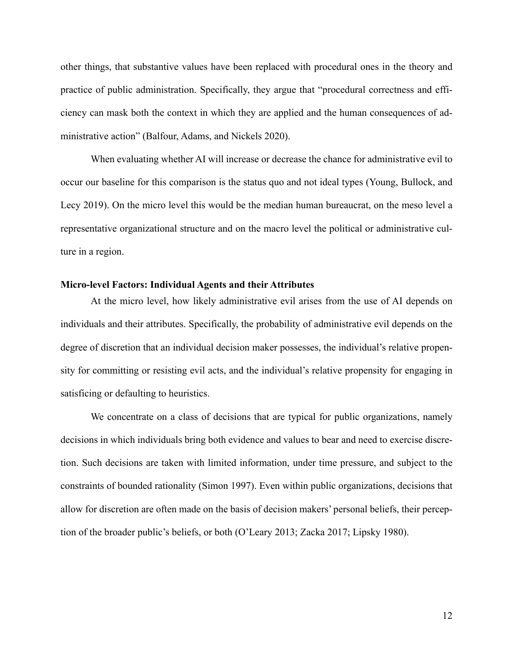other things, that substantive values have been replaced with procedural ones in the theory and practice of public administration. Specifically, they argue that "procedural correctness and efficiency can mask both the context in which they are applied and the human consequences of administrative action" (Balfour, Adams, and Nickels 2020).

When evaluating whether AI will increase or decrease the chance for administrative evil to occur our baseline for this comparison is the status quo and not ideal types (Young, Bullock, and Lecy 2019). On the micro level this would be the median human bureaucrat, on the meso level a representative organizational structure and on the macro level the political or administrative culture in a region.

#### **Micro-level Factors: Individual Agents and their Attributes**

At the micro level, how likely administrative evil arises from the use of AI depends on individuals and their attributes. Specifically, the probability of administrative evil depends on the degree of discretion that an individual decision maker possesses, the individual's relative propensity for committing or resisting evil acts, and the individual's relative propensity for engaging in satisficing or defaulting to heuristics.

We concentrate on a class of decisions that are typical for public organizations, namely decisions in which individuals bring both evidence and values to bear and need to exercise discretion. Such decisions are taken with limited information, under time pressure, and subject to the constraints of bounded rationality (Simon 1997). Even within public organizations, decisions that allow for discretion are often made on the basis of decision makers' personal beliefs, their perception of the broader public's beliefs, or both (O'Leary 2013; Zacka 2017; Lipsky 1980).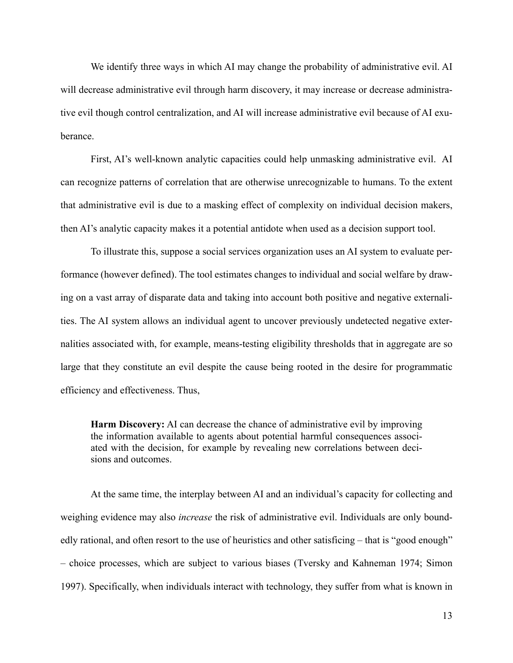We identify three ways in which AI may change the probability of administrative evil. AI will decrease administrative evil through harm discovery, it may increase or decrease administrative evil though control centralization, and AI will increase administrative evil because of AI exuberance.

First, AI's well-known analytic capacities could help unmasking administrative evil. AI can recognize patterns of correlation that are otherwise unrecognizable to humans. To the extent that administrative evil is due to a masking effect of complexity on individual decision makers, then AI's analytic capacity makes it a potential antidote when used as a decision support tool.

To illustrate this, suppose a social services organization uses an AI system to evaluate performance (however defined). The tool estimates changes to individual and social welfare by drawing on a vast array of disparate data and taking into account both positive and negative externalities. The AI system allows an individual agent to uncover previously undetected negative externalities associated with, for example, means-testing eligibility thresholds that in aggregate are so large that they constitute an evil despite the cause being rooted in the desire for programmatic efficiency and effectiveness. Thus,

**Harm Discovery:** AI can decrease the chance of administrative evil by improving the information available to agents about potential harmful consequences associated with the decision, for example by revealing new correlations between decisions and outcomes.

At the same time, the interplay between AI and an individual's capacity for collecting and weighing evidence may also *increase* the risk of administrative evil. Individuals are only boundedly rational, and often resort to the use of heuristics and other satisficing – that is "good enough" – choice processes, which are subject to various biases (Tversky and Kahneman 1974; Simon 1997). Specifically, when individuals interact with technology, they suffer from what is known in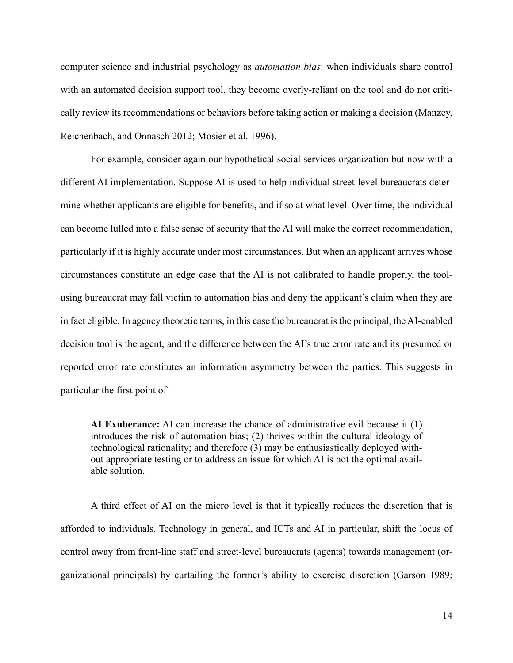computer science and industrial psychology as *automation bias*: when individuals share control with an automated decision support tool, they become overly-reliant on the tool and do not critically review its recommendations or behaviors before taking action or making a decision (Manzey, Reichenbach, and Onnasch 2012; Mosier et al. 1996).

For example, consider again our hypothetical social services organization but now with a different AI implementation. Suppose AI is used to help individual street-level bureaucrats determine whether applicants are eligible for benefits, and if so at what level. Over time, the individual can become lulled into a false sense of security that the AI will make the correct recommendation, particularly if it is highly accurate under most circumstances. But when an applicant arrives whose circumstances constitute an edge case that the AI is not calibrated to handle properly, the toolusing bureaucrat may fall victim to automation bias and deny the applicant's claim when they are in fact eligible. In agency theoretic terms, in this case the bureaucrat is the principal, the AI-enabled decision tool is the agent, and the difference between the AI's true error rate and its presumed or reported error rate constitutes an information asymmetry between the parties. This suggests in particular the first point of

**AI Exuberance:** AI can increase the chance of administrative evil because it (1) introduces the risk of automation bias; (2) thrives within the cultural ideology of technological rationality; and therefore (3) may be enthusiastically deployed without appropriate testing or to address an issue for which AI is not the optimal available solution.

A third effect of AI on the micro level is that it typically reduces the discretion that is afforded to individuals. Technology in general, and ICTs and AI in particular, shift the locus of control away from front-line staff and street-level bureaucrats (agents) towards management (organizational principals) by curtailing the former's ability to exercise discretion (Garson 1989;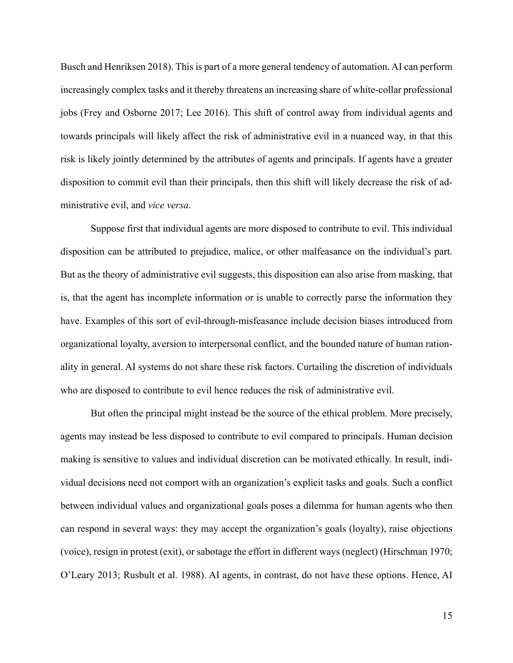Busch and Henriksen 2018). This is part of a more general tendency of automation. AI can perform increasingly complex tasks and it thereby threatens an increasing share of white-collar professional jobs (Frey and Osborne 2017; Lee 2016). This shift of control away from individual agents and towards principals will likely affect the risk of administrative evil in a nuanced way, in that this risk is likely jointly determined by the attributes of agents and principals. If agents have a greater disposition to commit evil than their principals, then this shift will likely decrease the risk of administrative evil, and *vice versa*.

Suppose first that individual agents are more disposed to contribute to evil. This individual disposition can be attributed to prejudice, malice, or other malfeasance on the individual's part. But as the theory of administrative evil suggests, this disposition can also arise from masking, that is, that the agent has incomplete information or is unable to correctly parse the information they have. Examples of this sort of evil-through-misfeasance include decision biases introduced from organizational loyalty, aversion to interpersonal conflict, and the bounded nature of human rationality in general. AI systems do not share these risk factors. Curtailing the discretion of individuals who are disposed to contribute to evil hence reduces the risk of administrative evil.

But often the principal might instead be the source of the ethical problem. More precisely, agents may instead be less disposed to contribute to evil compared to principals. Human decision making is sensitive to values and individual discretion can be motivated ethically. In result, individual decisions need not comport with an organization's explicit tasks and goals. Such a conflict between individual values and organizational goals poses a dilemma for human agents who then can respond in several ways: they may accept the organization's goals (loyalty), raise objections (voice), resign in protest (exit), or sabotage the effort in different ways (neglect) (Hirschman 1970; O'Leary 2013; Rusbult et al. 1988). AI agents, in contrast, do not have these options. Hence, AI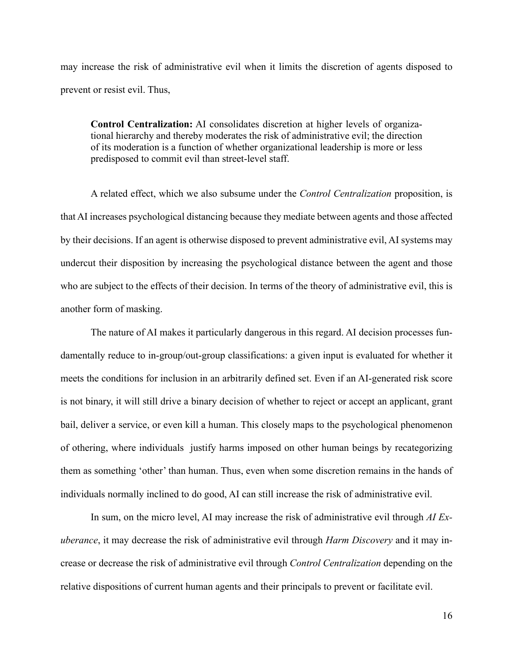may increase the risk of administrative evil when it limits the discretion of agents disposed to prevent or resist evil. Thus,

**Control Centralization:** AI consolidates discretion at higher levels of organizational hierarchy and thereby moderates the risk of administrative evil; the direction of its moderation is a function of whether organizational leadership is more or less predisposed to commit evil than street-level staff.

A related effect, which we also subsume under the *Control Centralization* proposition, is that AI increases psychological distancing because they mediate between agents and those affected by their decisions. If an agent is otherwise disposed to prevent administrative evil, AI systems may undercut their disposition by increasing the psychological distance between the agent and those who are subject to the effects of their decision. In terms of the theory of administrative evil, this is another form of masking.

The nature of AI makes it particularly dangerous in this regard. AI decision processes fundamentally reduce to in-group/out-group classifications: a given input is evaluated for whether it meets the conditions for inclusion in an arbitrarily defined set. Even if an AI-generated risk score is not binary, it will still drive a binary decision of whether to reject or accept an applicant, grant bail, deliver a service, or even kill a human. This closely maps to the psychological phenomenon of othering, where individuals justify harms imposed on other human beings by recategorizing them as something 'other' than human. Thus, even when some discretion remains in the hands of individuals normally inclined to do good, AI can still increase the risk of administrative evil.

In sum, on the micro level, AI may increase the risk of administrative evil through *AI Exuberance*, it may decrease the risk of administrative evil through *Harm Discovery* and it may increase or decrease the risk of administrative evil through *Control Centralization* depending on the relative dispositions of current human agents and their principals to prevent or facilitate evil.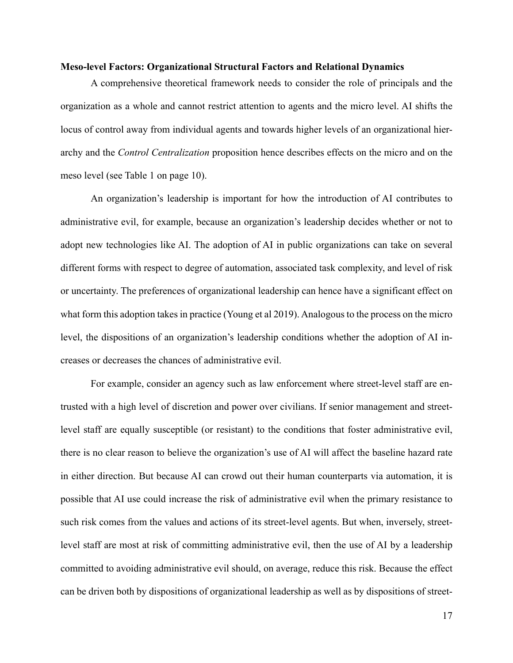#### **Meso-level Factors: Organizational Structural Factors and Relational Dynamics**

A comprehensive theoretical framework needs to consider the role of principals and the organization as a whole and cannot restrict attention to agents and the micro level. AI shifts the locus of control away from individual agents and towards higher levels of an organizational hierarchy and the *Control Centralization* proposition hence describes effects on the micro and on the meso level (see Table 1 on page 10).

An organization's leadership is important for how the introduction of AI contributes to administrative evil, for example, because an organization's leadership decides whether or not to adopt new technologies like AI. The adoption of AI in public organizations can take on several different forms with respect to degree of automation, associated task complexity, and level of risk or uncertainty. The preferences of organizational leadership can hence have a significant effect on what form this adoption takes in practice (Young et al 2019). Analogous to the process on the micro level, the dispositions of an organization's leadership conditions whether the adoption of AI increases or decreases the chances of administrative evil.

For example, consider an agency such as law enforcement where street-level staff are entrusted with a high level of discretion and power over civilians. If senior management and streetlevel staff are equally susceptible (or resistant) to the conditions that foster administrative evil, there is no clear reason to believe the organization's use of AI will affect the baseline hazard rate in either direction. But because AI can crowd out their human counterparts via automation, it is possible that AI use could increase the risk of administrative evil when the primary resistance to such risk comes from the values and actions of its street-level agents. But when, inversely, streetlevel staff are most at risk of committing administrative evil, then the use of AI by a leadership committed to avoiding administrative evil should, on average, reduce this risk. Because the effect can be driven both by dispositions of organizational leadership as well as by dispositions of street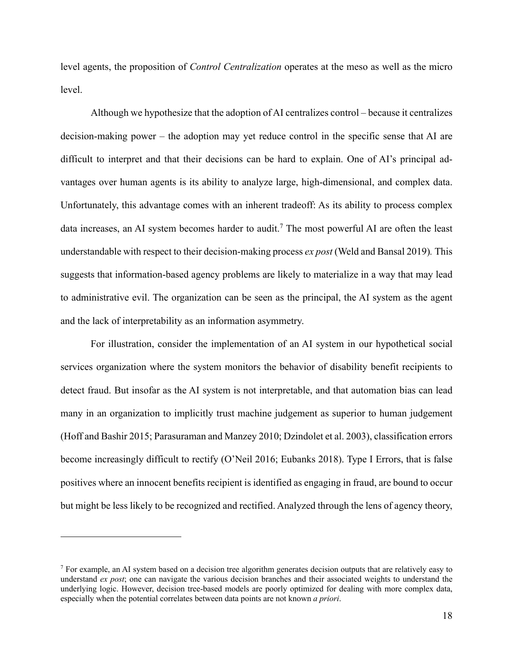level agents, the proposition of *Control Centralization* operates at the meso as well as the micro level.

Although we hypothesize that the adoption of AI centralizes control – because it centralizes decision-making power – the adoption may yet reduce control in the specific sense that AI are difficult to interpret and that their decisions can be hard to explain. One of AI's principal advantages over human agents is its ability to analyze large, high-dimensional, and complex data. Unfortunately, this advantage comes with an inherent tradeoff: As its ability to process complex data increases, an AI system becomes harder to audit.<sup>7</sup> The most powerful AI are often the least understandable with respect to their decision-making process *ex post* (Weld and Bansal 2019)*.* This suggests that information-based agency problems are likely to materialize in a way that may lead to administrative evil. The organization can be seen as the principal, the AI system as the agent and the lack of interpretability as an information asymmetry.

For illustration, consider the implementation of an AI system in our hypothetical social services organization where the system monitors the behavior of disability benefit recipients to detect fraud. But insofar as the AI system is not interpretable, and that automation bias can lead many in an organization to implicitly trust machine judgement as superior to human judgement (Hoff and Bashir 2015; Parasuraman and Manzey 2010; Dzindolet et al. 2003), classification errors become increasingly difficult to rectify (O'Neil 2016; Eubanks 2018). Type I Errors, that is false positives where an innocent benefits recipient is identified as engaging in fraud, are bound to occur but might be less likely to be recognized and rectified. Analyzed through the lens of agency theory,

<sup>7</sup> For example, an AI system based on a decision tree algorithm generates decision outputs that are relatively easy to understand *ex post*; one can navigate the various decision branches and their associated weights to understand the underlying logic. However, decision tree-based models are poorly optimized for dealing with more complex data, especially when the potential correlates between data points are not known *a priori*.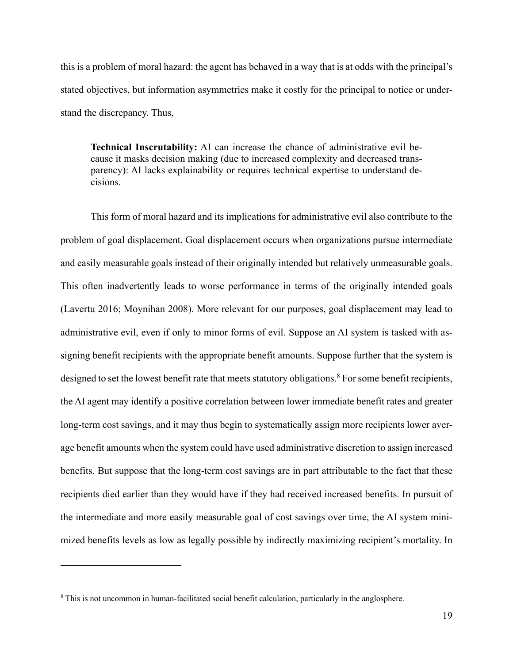this is a problem of moral hazard: the agent has behaved in a way that is at odds with the principal's stated objectives, but information asymmetries make it costly for the principal to notice or understand the discrepancy. Thus,

**Technical Inscrutability:** AI can increase the chance of administrative evil because it masks decision making (due to increased complexity and decreased transparency): AI lacks explainability or requires technical expertise to understand decisions.

This form of moral hazard and its implications for administrative evil also contribute to the problem of goal displacement. Goal displacement occurs when organizations pursue intermediate and easily measurable goals instead of their originally intended but relatively unmeasurable goals. This often inadvertently leads to worse performance in terms of the originally intended goals (Lavertu 2016; Moynihan 2008). More relevant for our purposes, goal displacement may lead to administrative evil, even if only to minor forms of evil. Suppose an AI system is tasked with assigning benefit recipients with the appropriate benefit amounts. Suppose further that the system is designed to set the lowest benefit rate that meets statutory obligations.<sup>8</sup> For some benefit recipients, the AI agent may identify a positive correlation between lower immediate benefit rates and greater long-term cost savings, and it may thus begin to systematically assign more recipients lower average benefit amounts when the system could have used administrative discretion to assign increased benefits. But suppose that the long-term cost savings are in part attributable to the fact that these recipients died earlier than they would have if they had received increased benefits. In pursuit of the intermediate and more easily measurable goal of cost savings over time, the AI system minimized benefits levels as low as legally possible by indirectly maximizing recipient's mortality. In

<sup>8</sup> This is not uncommon in human-facilitated social benefit calculation, particularly in the anglosphere.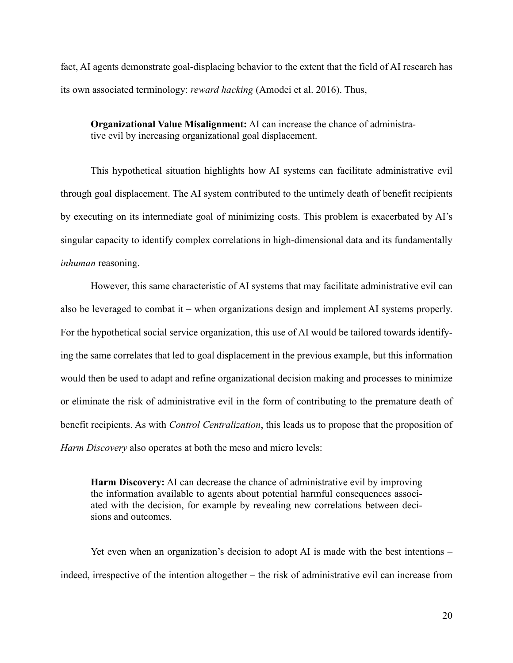fact, AI agents demonstrate goal-displacing behavior to the extent that the field of AI research has its own associated terminology: *reward hacking* (Amodei et al. 2016). Thus,

**Organizational Value Misalignment:** AI can increase the chance of administrative evil by increasing organizational goal displacement.

This hypothetical situation highlights how AI systems can facilitate administrative evil through goal displacement. The AI system contributed to the untimely death of benefit recipients by executing on its intermediate goal of minimizing costs. This problem is exacerbated by AI's singular capacity to identify complex correlations in high-dimensional data and its fundamentally *inhuman* reasoning.

However, this same characteristic of AI systems that may facilitate administrative evil can also be leveraged to combat it – when organizations design and implement AI systems properly. For the hypothetical social service organization, this use of AI would be tailored towards identifying the same correlates that led to goal displacement in the previous example, but this information would then be used to adapt and refine organizational decision making and processes to minimize or eliminate the risk of administrative evil in the form of contributing to the premature death of benefit recipients. As with *Control Centralization*, this leads us to propose that the proposition of *Harm Discovery* also operates at both the meso and micro levels:

**Harm Discovery:** AI can decrease the chance of administrative evil by improving the information available to agents about potential harmful consequences associated with the decision, for example by revealing new correlations between decisions and outcomes.

Yet even when an organization's decision to adopt AI is made with the best intentions – indeed, irrespective of the intention altogether – the risk of administrative evil can increase from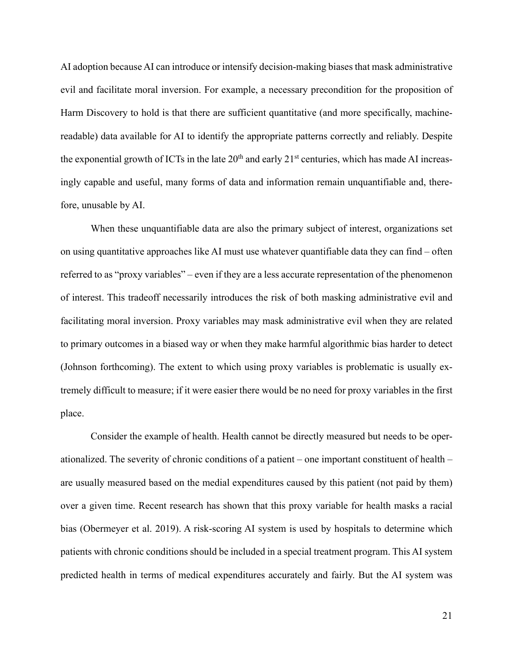AI adoption because AI can introduce or intensify decision-making biases that mask administrative evil and facilitate moral inversion. For example, a necessary precondition for the proposition of Harm Discovery to hold is that there are sufficient quantitative (and more specifically, machinereadable) data available for AI to identify the appropriate patterns correctly and reliably. Despite the exponential growth of ICTs in the late  $20<sup>th</sup>$  and early  $21<sup>st</sup>$  centuries, which has made AI increasingly capable and useful, many forms of data and information remain unquantifiable and, therefore, unusable by AI.

When these unquantifiable data are also the primary subject of interest, organizations set on using quantitative approaches like AI must use whatever quantifiable data they can find – often referred to as "proxy variables" – even if they are a less accurate representation of the phenomenon of interest. This tradeoff necessarily introduces the risk of both masking administrative evil and facilitating moral inversion. Proxy variables may mask administrative evil when they are related to primary outcomes in a biased way or when they make harmful algorithmic bias harder to detect (Johnson forthcoming). The extent to which using proxy variables is problematic is usually extremely difficult to measure; if it were easier there would be no need for proxy variables in the first place.

Consider the example of health. Health cannot be directly measured but needs to be operationalized. The severity of chronic conditions of a patient – one important constituent of health – are usually measured based on the medial expenditures caused by this patient (not paid by them) over a given time. Recent research has shown that this proxy variable for health masks a racial bias (Obermeyer et al. 2019). A risk-scoring AI system is used by hospitals to determine which patients with chronic conditions should be included in a special treatment program. This AI system predicted health in terms of medical expenditures accurately and fairly. But the AI system was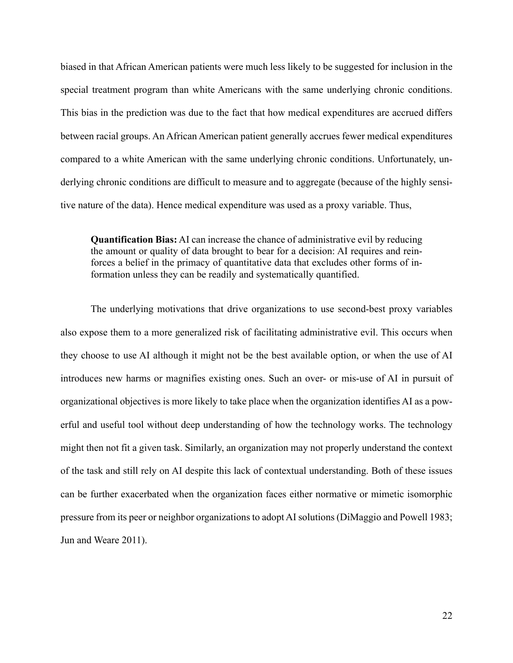biased in that African American patients were much less likely to be suggested for inclusion in the special treatment program than white Americans with the same underlying chronic conditions. This bias in the prediction was due to the fact that how medical expenditures are accrued differs between racial groups. An African American patient generally accrues fewer medical expenditures compared to a white American with the same underlying chronic conditions. Unfortunately, underlying chronic conditions are difficult to measure and to aggregate (because of the highly sensitive nature of the data). Hence medical expenditure was used as a proxy variable. Thus,

**Quantification Bias:** AI can increase the chance of administrative evil by reducing the amount or quality of data brought to bear for a decision: AI requires and reinforces a belief in the primacy of quantitative data that excludes other forms of information unless they can be readily and systematically quantified.

The underlying motivations that drive organizations to use second-best proxy variables also expose them to a more generalized risk of facilitating administrative evil. This occurs when they choose to use AI although it might not be the best available option, or when the use of AI introduces new harms or magnifies existing ones. Such an over- or mis-use of AI in pursuit of organizational objectives is more likely to take place when the organization identifies AI as a powerful and useful tool without deep understanding of how the technology works. The technology might then not fit a given task. Similarly, an organization may not properly understand the context of the task and still rely on AI despite this lack of contextual understanding. Both of these issues can be further exacerbated when the organization faces either normative or mimetic isomorphic pressure from its peer or neighbor organizations to adopt AI solutions (DiMaggio and Powell 1983; Jun and Weare 2011).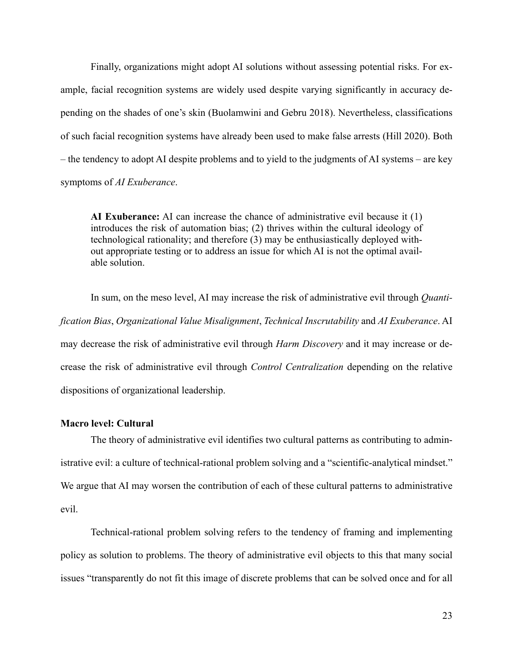Finally, organizations might adopt AI solutions without assessing potential risks. For example, facial recognition systems are widely used despite varying significantly in accuracy depending on the shades of one's skin (Buolamwini and Gebru 2018). Nevertheless, classifications of such facial recognition systems have already been used to make false arrests (Hill 2020). Both – the tendency to adopt AI despite problems and to yield to the judgments of AI systems – are key symptoms of *AI Exuberance*.

**AI Exuberance:** AI can increase the chance of administrative evil because it (1) introduces the risk of automation bias; (2) thrives within the cultural ideology of technological rationality; and therefore (3) may be enthusiastically deployed without appropriate testing or to address an issue for which AI is not the optimal available solution.

In sum, on the meso level, AI may increase the risk of administrative evil through *Quantification Bias*, *Organizational Value Misalignment*, *Technical Inscrutability* and *AI Exuberance*. AI may decrease the risk of administrative evil through *Harm Discovery* and it may increase or decrease the risk of administrative evil through *Control Centralization* depending on the relative dispositions of organizational leadership.

#### **Macro level: Cultural**

The theory of administrative evil identifies two cultural patterns as contributing to administrative evil: a culture of technical-rational problem solving and a "scientific-analytical mindset." We argue that AI may worsen the contribution of each of these cultural patterns to administrative evil.

Technical-rational problem solving refers to the tendency of framing and implementing policy as solution to problems. The theory of administrative evil objects to this that many social issues "transparently do not fit this image of discrete problems that can be solved once and for all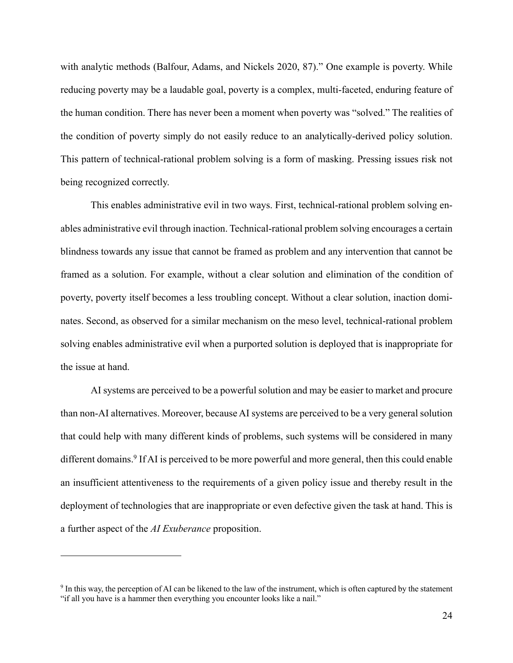with analytic methods (Balfour, Adams, and Nickels 2020, 87)." One example is poverty. While reducing poverty may be a laudable goal, poverty is a complex, multi-faceted, enduring feature of the human condition. There has never been a moment when poverty was "solved." The realities of the condition of poverty simply do not easily reduce to an analytically-derived policy solution. This pattern of technical-rational problem solving is a form of masking. Pressing issues risk not being recognized correctly.

This enables administrative evil in two ways. First, technical-rational problem solving enables administrative evil through inaction. Technical-rational problem solving encourages a certain blindness towards any issue that cannot be framed as problem and any intervention that cannot be framed as a solution. For example, without a clear solution and elimination of the condition of poverty, poverty itself becomes a less troubling concept. Without a clear solution, inaction dominates. Second, as observed for a similar mechanism on the meso level, technical-rational problem solving enables administrative evil when a purported solution is deployed that is inappropriate for the issue at hand.

AI systems are perceived to be a powerful solution and may be easier to market and procure than non-AI alternatives. Moreover, because AI systems are perceived to be a very general solution that could help with many different kinds of problems, such systems will be considered in many different domains.<sup>9</sup> If AI is perceived to be more powerful and more general, then this could enable an insufficient attentiveness to the requirements of a given policy issue and thereby result in the deployment of technologies that are inappropriate or even defective given the task at hand. This is a further aspect of the *AI Exuberance* proposition.

<sup>9</sup> In this way, the perception of AI can be likened to the law of the instrument, which is often captured by the statement "if all you have is a hammer then everything you encounter looks like a nail."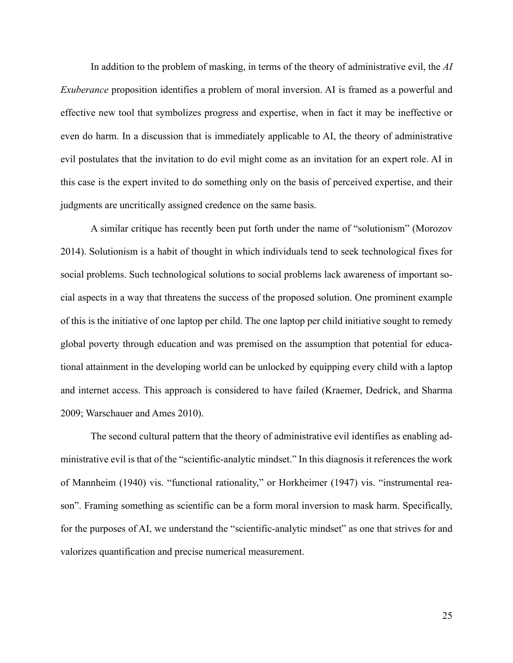In addition to the problem of masking, in terms of the theory of administrative evil, the *AI Exuberance* proposition identifies a problem of moral inversion. AI is framed as a powerful and effective new tool that symbolizes progress and expertise, when in fact it may be ineffective or even do harm. In a discussion that is immediately applicable to AI, the theory of administrative evil postulates that the invitation to do evil might come as an invitation for an expert role. AI in this case is the expert invited to do something only on the basis of perceived expertise, and their judgments are uncritically assigned credence on the same basis.

A similar critique has recently been put forth under the name of "solutionism" (Morozov 2014). Solutionism is a habit of thought in which individuals tend to seek technological fixes for social problems. Such technological solutions to social problems lack awareness of important social aspects in a way that threatens the success of the proposed solution. One prominent example of this is the initiative of one laptop per child. The one laptop per child initiative sought to remedy global poverty through education and was premised on the assumption that potential for educational attainment in the developing world can be unlocked by equipping every child with a laptop and internet access. This approach is considered to have failed (Kraemer, Dedrick, and Sharma 2009; Warschauer and Ames 2010).

The second cultural pattern that the theory of administrative evil identifies as enabling administrative evil is that of the "scientific-analytic mindset." In this diagnosis it references the work of Mannheim (1940) vis. "functional rationality," or Horkheimer (1947) vis. "instrumental reason". Framing something as scientific can be a form moral inversion to mask harm. Specifically, for the purposes of AI, we understand the "scientific-analytic mindset" as one that strives for and valorizes quantification and precise numerical measurement.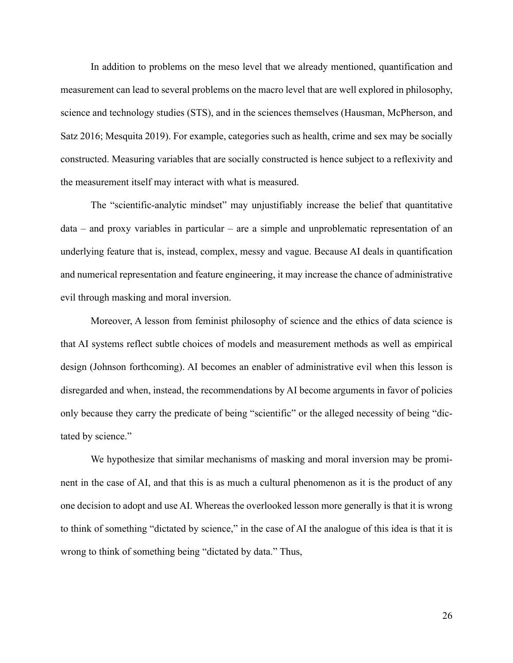In addition to problems on the meso level that we already mentioned, quantification and measurement can lead to several problems on the macro level that are well explored in philosophy, science and technology studies (STS), and in the sciences themselves (Hausman, McPherson, and Satz 2016; Mesquita 2019). For example, categories such as health, crime and sex may be socially constructed. Measuring variables that are socially constructed is hence subject to a reflexivity and the measurement itself may interact with what is measured.

The "scientific-analytic mindset" may unjustifiably increase the belief that quantitative data – and proxy variables in particular – are a simple and unproblematic representation of an underlying feature that is, instead, complex, messy and vague. Because AI deals in quantification and numerical representation and feature engineering, it may increase the chance of administrative evil through masking and moral inversion.

Moreover, A lesson from feminist philosophy of science and the ethics of data science is that AI systems reflect subtle choices of models and measurement methods as well as empirical design (Johnson forthcoming). AI becomes an enabler of administrative evil when this lesson is disregarded and when, instead, the recommendations by AI become arguments in favor of policies only because they carry the predicate of being "scientific" or the alleged necessity of being "dictated by science."

We hypothesize that similar mechanisms of masking and moral inversion may be prominent in the case of AI, and that this is as much a cultural phenomenon as it is the product of any one decision to adopt and use AI. Whereas the overlooked lesson more generally is that it is wrong to think of something "dictated by science," in the case of AI the analogue of this idea is that it is wrong to think of something being "dictated by data." Thus,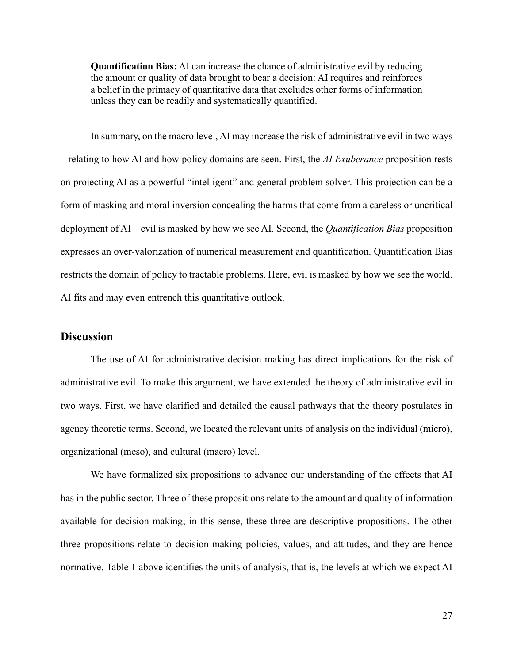**Quantification Bias:** AI can increase the chance of administrative evil by reducing the amount or quality of data brought to bear a decision: AI requires and reinforces a belief in the primacy of quantitative data that excludes other forms of information unless they can be readily and systematically quantified.

In summary, on the macro level, AI may increase the risk of administrative evil in two ways – relating to how AI and how policy domains are seen. First, the *AI Exuberance* proposition rests on projecting AI as a powerful "intelligent" and general problem solver. This projection can be a form of masking and moral inversion concealing the harms that come from a careless or uncritical deployment of AI – evil is masked by how we see AI. Second, the *Quantification Bias* proposition expresses an over-valorization of numerical measurement and quantification. Quantification Bias restricts the domain of policy to tractable problems. Here, evil is masked by how we see the world. AI fits and may even entrench this quantitative outlook.

### **Discussion**

The use of AI for administrative decision making has direct implications for the risk of administrative evil. To make this argument, we have extended the theory of administrative evil in two ways. First, we have clarified and detailed the causal pathways that the theory postulates in agency theoretic terms. Second, we located the relevant units of analysis on the individual (micro), organizational (meso), and cultural (macro) level.

We have formalized six propositions to advance our understanding of the effects that AI has in the public sector. Three of these propositions relate to the amount and quality of information available for decision making; in this sense, these three are descriptive propositions. The other three propositions relate to decision-making policies, values, and attitudes, and they are hence normative. Table 1 above identifies the units of analysis, that is, the levels at which we expect AI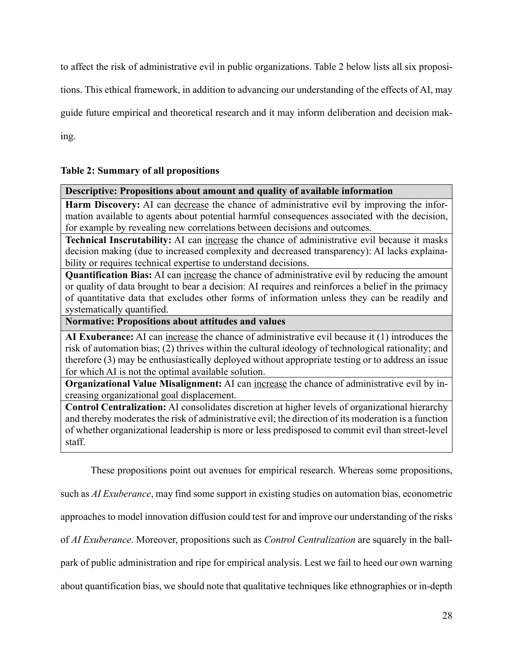to affect the risk of administrative evil in public organizations. Table 2 below lists all six proposi-

tions. This ethical framework, in addition to advancing our understanding of the effects of AI, may

guide future empirical and theoretical research and it may inform deliberation and decision mak-

ing.

# **Table 2: Summary of all propositions**

### **Descriptive: Propositions about amount and quality of available information**

**Harm Discovery:** AI can decrease the chance of administrative evil by improving the information available to agents about potential harmful consequences associated with the decision, for example by revealing new correlations between decisions and outcomes.

**Technical Inscrutability:** AI can increase the chance of administrative evil because it masks decision making (due to increased complexity and decreased transparency): AI lacks explainability or requires technical expertise to understand decisions.

**Quantification Bias:** AI can increase the chance of administrative evil by reducing the amount or quality of data brought to bear a decision: AI requires and reinforces a belief in the primacy of quantitative data that excludes other forms of information unless they can be readily and systematically quantified.

**Normative: Propositions about attitudes and values**

**AI Exuberance:** AI can increase the chance of administrative evil because it (1) introduces the risk of automation bias; (2) thrives within the cultural ideology of technological rationality; and therefore (3) may be enthusiastically deployed without appropriate testing or to address an issue for which AI is not the optimal available solution.

**Organizational Value Misalignment:** AI can increase the chance of administrative evil by increasing organizational goal displacement.

**Control Centralization:** AI consolidates discretion at higher levels of organizational hierarchy and thereby moderates the risk of administrative evil; the direction of its moderation is a function of whether organizational leadership is more or less predisposed to commit evil than street-level staff.

These propositions point out avenues for empirical research. Whereas some propositions,

such as *AI Exuberance*, may find some support in existing studies on automation bias, econometric

approaches to model innovation diffusion could test for and improve our understanding of the risks

of *AI Exuberance*. Moreover, propositions such as *Control Centralization* are squarely in the ball-

park of public administration and ripe for empirical analysis. Lest we fail to heed our own warning

about quantification bias, we should note that qualitative techniques like ethnographies or in-depth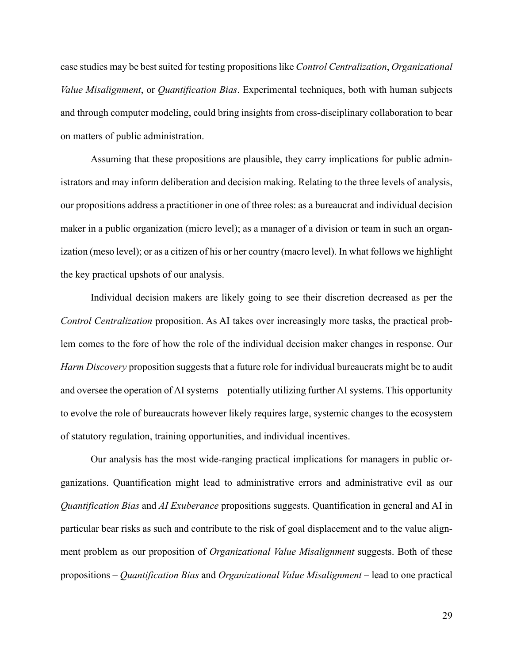case studies may be best suited for testing propositions like *Control Centralization*, *Organizational Value Misalignment*, or *Quantification Bias*. Experimental techniques, both with human subjects and through computer modeling, could bring insights from cross-disciplinary collaboration to bear on matters of public administration.

Assuming that these propositions are plausible, they carry implications for public administrators and may inform deliberation and decision making. Relating to the three levels of analysis, our propositions address a practitioner in one of three roles: as a bureaucrat and individual decision maker in a public organization (micro level); as a manager of a division or team in such an organization (meso level); or as a citizen of his or her country (macro level). In what follows we highlight the key practical upshots of our analysis.

Individual decision makers are likely going to see their discretion decreased as per the *Control Centralization* proposition. As AI takes over increasingly more tasks, the practical problem comes to the fore of how the role of the individual decision maker changes in response. Our *Harm Discovery* proposition suggests that a future role for individual bureaucrats might be to audit and oversee the operation of AI systems – potentially utilizing further AI systems. This opportunity to evolve the role of bureaucrats however likely requires large, systemic changes to the ecosystem of statutory regulation, training opportunities, and individual incentives.

Our analysis has the most wide-ranging practical implications for managers in public organizations. Quantification might lead to administrative errors and administrative evil as our *Quantification Bias* and *AI Exuberance* propositions suggests. Quantification in general and AI in particular bear risks as such and contribute to the risk of goal displacement and to the value alignment problem as our proposition of *Organizational Value Misalignment* suggests. Both of these propositions – *Quantification Bias* and *Organizational Value Misalignment* – lead to one practical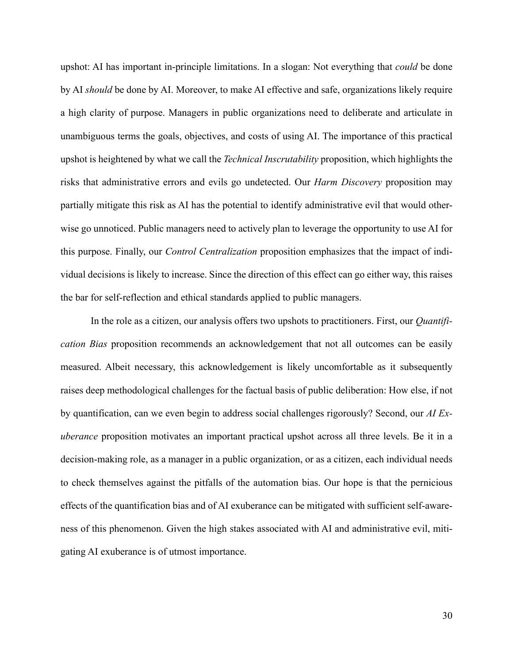upshot: AI has important in-principle limitations. In a slogan: Not everything that *could* be done by AI *should* be done by AI. Moreover, to make AI effective and safe, organizations likely require a high clarity of purpose. Managers in public organizations need to deliberate and articulate in unambiguous terms the goals, objectives, and costs of using AI. The importance of this practical upshot is heightened by what we call the *Technical Inscrutability* proposition, which highlights the risks that administrative errors and evils go undetected. Our *Harm Discovery* proposition may partially mitigate this risk as AI has the potential to identify administrative evil that would otherwise go unnoticed. Public managers need to actively plan to leverage the opportunity to use AI for this purpose. Finally, our *Control Centralization* proposition emphasizes that the impact of individual decisions is likely to increase. Since the direction of this effect can go either way, this raises the bar for self-reflection and ethical standards applied to public managers.

In the role as a citizen, our analysis offers two upshots to practitioners. First, our *Quantification Bias* proposition recommends an acknowledgement that not all outcomes can be easily measured. Albeit necessary, this acknowledgement is likely uncomfortable as it subsequently raises deep methodological challenges for the factual basis of public deliberation: How else, if not by quantification, can we even begin to address social challenges rigorously? Second, our *AI Exuberance* proposition motivates an important practical upshot across all three levels. Be it in a decision-making role, as a manager in a public organization, or as a citizen, each individual needs to check themselves against the pitfalls of the automation bias. Our hope is that the pernicious effects of the quantification bias and of AI exuberance can be mitigated with sufficient self-awareness of this phenomenon. Given the high stakes associated with AI and administrative evil, mitigating AI exuberance is of utmost importance.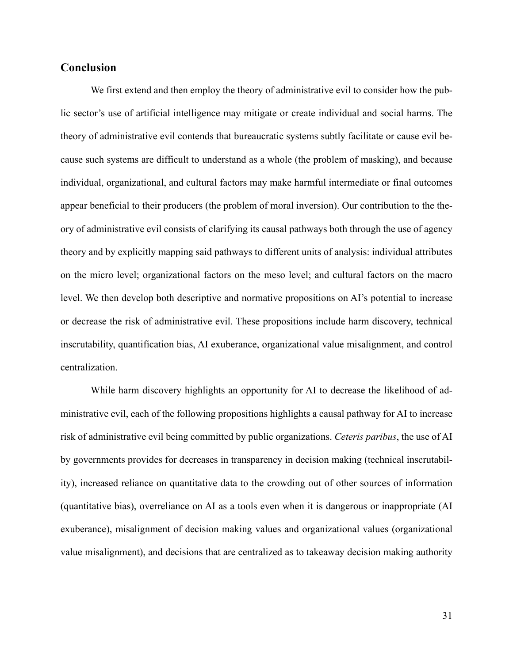# **Conclusion**

We first extend and then employ the theory of administrative evil to consider how the public sector's use of artificial intelligence may mitigate or create individual and social harms. The theory of administrative evil contends that bureaucratic systems subtly facilitate or cause evil because such systems are difficult to understand as a whole (the problem of masking), and because individual, organizational, and cultural factors may make harmful intermediate or final outcomes appear beneficial to their producers (the problem of moral inversion). Our contribution to the theory of administrative evil consists of clarifying its causal pathways both through the use of agency theory and by explicitly mapping said pathways to different units of analysis: individual attributes on the micro level; organizational factors on the meso level; and cultural factors on the macro level. We then develop both descriptive and normative propositions on AI's potential to increase or decrease the risk of administrative evil. These propositions include harm discovery, technical inscrutability, quantification bias, AI exuberance, organizational value misalignment, and control centralization.

While harm discovery highlights an opportunity for AI to decrease the likelihood of administrative evil, each of the following propositions highlights a causal pathway for AI to increase risk of administrative evil being committed by public organizations. *Ceteris paribus*, the use of AI by governments provides for decreases in transparency in decision making (technical inscrutability), increased reliance on quantitative data to the crowding out of other sources of information (quantitative bias), overreliance on AI as a tools even when it is dangerous or inappropriate (AI exuberance), misalignment of decision making values and organizational values (organizational value misalignment), and decisions that are centralized as to takeaway decision making authority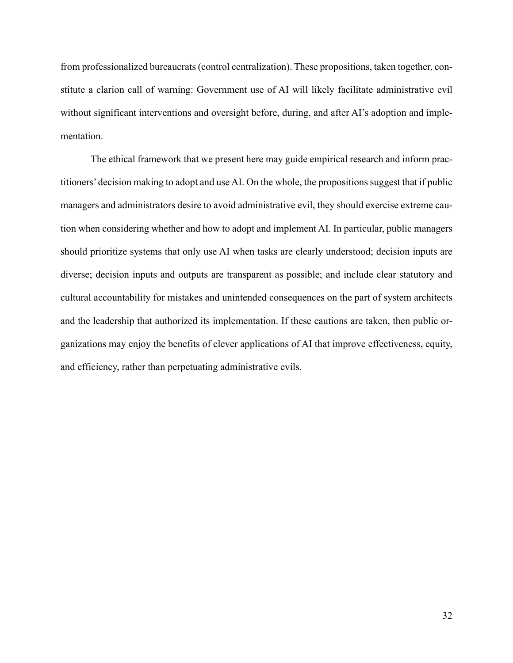from professionalized bureaucrats (control centralization). These propositions, taken together, constitute a clarion call of warning: Government use of AI will likely facilitate administrative evil without significant interventions and oversight before, during, and after AI's adoption and implementation.

The ethical framework that we present here may guide empirical research and inform practitioners' decision making to adopt and use AI. On the whole, the propositions suggest that if public managers and administrators desire to avoid administrative evil, they should exercise extreme caution when considering whether and how to adopt and implement AI. In particular, public managers should prioritize systems that only use AI when tasks are clearly understood; decision inputs are diverse; decision inputs and outputs are transparent as possible; and include clear statutory and cultural accountability for mistakes and unintended consequences on the part of system architects and the leadership that authorized its implementation. If these cautions are taken, then public organizations may enjoy the benefits of clever applications of AI that improve effectiveness, equity, and efficiency, rather than perpetuating administrative evils.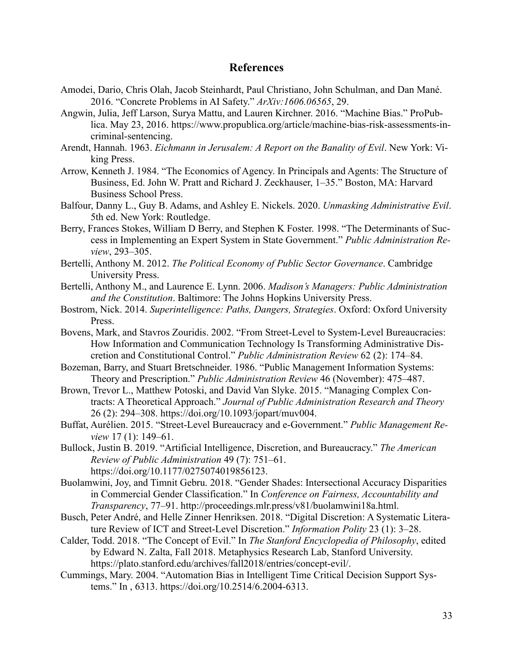### **References**

- Amodei, Dario, Chris Olah, Jacob Steinhardt, Paul Christiano, John Schulman, and Dan Mané. 2016. "Concrete Problems in AI Safety." *ArXiv:1606.06565*, 29.
- Angwin, Julia, Jeff Larson, Surya Mattu, and Lauren Kirchner. 2016. "Machine Bias." ProPublica. May 23, 2016. https://www.propublica.org/article/machine-bias-risk-assessments-incriminal-sentencing.
- Arendt, Hannah. 1963. *Eichmann in Jerusalem: A Report on the Banality of Evil*. New York: Viking Press.
- Arrow, Kenneth J. 1984. "The Economics of Agency. In Principals and Agents: The Structure of Business, Ed. John W. Pratt and Richard J. Zeckhauser, 1–35." Boston, MA: Harvard Business School Press.
- Balfour, Danny L., Guy B. Adams, and Ashley E. Nickels. 2020. *Unmasking Administrative Evil*. 5th ed. New York: Routledge.
- Berry, Frances Stokes, William D Berry, and Stephen K Foster. 1998. "The Determinants of Success in Implementing an Expert System in State Government." *Public Administration Review*, 293–305.
- Bertelli, Anthony M. 2012. *The Political Economy of Public Sector Governance*. Cambridge University Press.
- Bertelli, Anthony M., and Laurence E. Lynn. 2006. *Madison's Managers: Public Administration and the Constitution*. Baltimore: The Johns Hopkins University Press.
- Bostrom, Nick. 2014. *Superintelligence: Paths, Dangers, Strategies*. Oxford: Oxford University Press.
- Bovens, Mark, and Stavros Zouridis. 2002. "From Street-Level to System-Level Bureaucracies: How Information and Communication Technology Is Transforming Administrative Discretion and Constitutional Control." *Public Administration Review* 62 (2): 174–84.
- Bozeman, Barry, and Stuart Bretschneider. 1986. "Public Management Information Systems: Theory and Prescription." *Public Administration Review* 46 (November): 475–487.
- Brown, Trevor L., Matthew Potoski, and David Van Slyke. 2015. "Managing Complex Contracts: A Theoretical Approach." *Journal of Public Administration Research and Theory* 26 (2): 294–308. https://doi.org/10.1093/jopart/muv004.
- Buffat, Aurélien. 2015. "Street-Level Bureaucracy and e-Government." *Public Management Review* 17 (1): 149–61.
- Bullock, Justin B. 2019. "Artificial Intelligence, Discretion, and Bureaucracy." *The American Review of Public Administration* 49 (7): 751–61. https://doi.org/10.1177/0275074019856123.
- Buolamwini, Joy, and Timnit Gebru. 2018. "Gender Shades: Intersectional Accuracy Disparities in Commercial Gender Classification." In *Conference on Fairness, Accountability and Transparency*, 77–91. http://proceedings.mlr.press/v81/buolamwini18a.html.
- Busch, Peter André, and Helle Zinner Henriksen. 2018. "Digital Discretion: A Systematic Literature Review of ICT and Street-Level Discretion." *Information Polity* 23 (1): 3–28.
- Calder, Todd. 2018. "The Concept of Evil." In *The Stanford Encyclopedia of Philosophy*, edited by Edward N. Zalta, Fall 2018. Metaphysics Research Lab, Stanford University. https://plato.stanford.edu/archives/fall2018/entries/concept-evil/.
- Cummings, Mary. 2004. "Automation Bias in Intelligent Time Critical Decision Support Systems." In , 6313. https://doi.org/10.2514/6.2004-6313.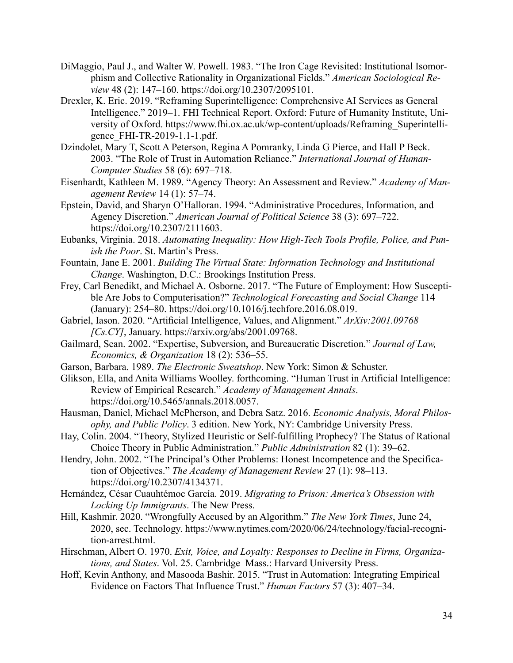- DiMaggio, Paul J., and Walter W. Powell. 1983. "The Iron Cage Revisited: Institutional Isomorphism and Collective Rationality in Organizational Fields." *American Sociological Review* 48 (2): 147–160. https://doi.org/10.2307/2095101.
- Drexler, K. Eric. 2019. "Reframing Superintelligence: Comprehensive AI Services as General Intelligence." 2019–1. FHI Technical Report. Oxford: Future of Humanity Institute, University of Oxford. https://www.fhi.ox.ac.uk/wp-content/uploads/Reframing\_Superintelligence\_FHI-TR-2019-1.1-1.pdf.
- Dzindolet, Mary T, Scott A Peterson, Regina A Pomranky, Linda G Pierce, and Hall P Beck. 2003. "The Role of Trust in Automation Reliance." *International Journal of Human-Computer Studies* 58 (6): 697–718.
- Eisenhardt, Kathleen M. 1989. "Agency Theory: An Assessment and Review." *Academy of Management Review* 14 (1): 57–74.
- Epstein, David, and Sharyn O'Halloran. 1994. "Administrative Procedures, Information, and Agency Discretion." *American Journal of Political Science* 38 (3): 697–722. https://doi.org/10.2307/2111603.
- Eubanks, Virginia. 2018. *Automating Inequality: How High-Tech Tools Profile, Police, and Punish the Poor*. St. Martin's Press.
- Fountain, Jane E. 2001. *Building The Virtual State: Information Technology and Institutional Change*. Washington, D.C.: Brookings Institution Press.
- Frey, Carl Benedikt, and Michael A. Osborne. 2017. "The Future of Employment: How Susceptible Are Jobs to Computerisation?" *Technological Forecasting and Social Change* 114 (January): 254–80. https://doi.org/10.1016/j.techfore.2016.08.019.
- Gabriel, Iason. 2020. "Artificial Intelligence, Values, and Alignment." *ArXiv:2001.09768 [Cs.CY]*, January. https://arxiv.org/abs/2001.09768.
- Gailmard, Sean. 2002. "Expertise, Subversion, and Bureaucratic Discretion." *Journal of Law, Economics, & Organization* 18 (2): 536–55.
- Garson, Barbara. 1989. *The Electronic Sweatshop*. New York: Simon & Schuster.
- Glikson, Ella, and Anita Williams Woolley. forthcoming. "Human Trust in Artificial Intelligence: Review of Empirical Research." *Academy of Management Annals*. https://doi.org/10.5465/annals.2018.0057.
- Hausman, Daniel, Michael McPherson, and Debra Satz. 2016. *Economic Analysis, Moral Philosophy, and Public Policy*. 3 edition. New York, NY: Cambridge University Press.
- Hay, Colin. 2004. "Theory, Stylized Heuristic or Self-fulfilling Prophecy? The Status of Rational Choice Theory in Public Administration." *Public Administration* 82 (1): 39–62.
- Hendry, John. 2002. "The Principal's Other Problems: Honest Incompetence and the Specification of Objectives." *The Academy of Management Review* 27 (1): 98–113. https://doi.org/10.2307/4134371.
- Hernández, César Cuauhtémoc García. 2019. *Migrating to Prison: America's Obsession with Locking Up Immigrants*. The New Press.
- Hill, Kashmir. 2020. "Wrongfully Accused by an Algorithm." *The New York Times*, June 24, 2020, sec. Technology. https://www.nytimes.com/2020/06/24/technology/facial-recognition-arrest.html.
- Hirschman, Albert O. 1970. *Exit, Voice, and Loyalty: Responses to Decline in Firms, Organizations, and States*. Vol. 25. Cambridge Mass.: Harvard University Press.
- Hoff, Kevin Anthony, and Masooda Bashir. 2015. "Trust in Automation: Integrating Empirical Evidence on Factors That Influence Trust." *Human Factors* 57 (3): 407–34.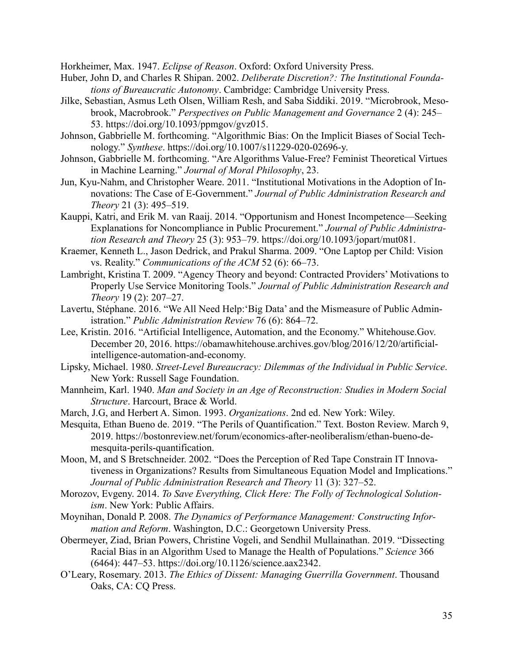Horkheimer, Max. 1947. *Eclipse of Reason*. Oxford: Oxford University Press.

- Huber, John D, and Charles R Shipan. 2002. *Deliberate Discretion?: The Institutional Foundations of Bureaucratic Autonomy*. Cambridge: Cambridge University Press.
- Jilke, Sebastian, Asmus Leth Olsen, William Resh, and Saba Siddiki. 2019. "Microbrook, Mesobrook, Macrobrook." *Perspectives on Public Management and Governance* 2 (4): 245– 53. https://doi.org/10.1093/ppmgov/gvz015.
- Johnson, Gabbrielle M. forthcoming. "Algorithmic Bias: On the Implicit Biases of Social Technology." *Synthese*. https://doi.org/10.1007/s11229-020-02696-y.
- Johnson, Gabbrielle M. forthcoming. "Are Algorithms Value-Free? Feminist Theoretical Virtues in Machine Learning." *Journal of Moral Philosophy*, 23.
- Jun, Kyu-Nahm, and Christopher Weare. 2011. "Institutional Motivations in the Adoption of Innovations: The Case of E-Government." *Journal of Public Administration Research and Theory* 21 (3): 495–519.
- Kauppi, Katri, and Erik M. van Raaij. 2014. "Opportunism and Honest Incompetence—Seeking Explanations for Noncompliance in Public Procurement." *Journal of Public Administration Research and Theory* 25 (3): 953–79. https://doi.org/10.1093/jopart/mut081.
- Kraemer, Kenneth L., Jason Dedrick, and Prakul Sharma. 2009. "One Laptop per Child: Vision vs. Reality." *Communications of the ACM* 52 (6): 66–73.
- Lambright, Kristina T. 2009. "Agency Theory and beyond: Contracted Providers' Motivations to Properly Use Service Monitoring Tools." *Journal of Public Administration Research and Theory* 19 (2): 207–27.
- Lavertu, Stéphane. 2016. "We All Need Help:'Big Data' and the Mismeasure of Public Administration." *Public Administration Review* 76 (6): 864–72.
- Lee, Kristin. 2016. "Artificial Intelligence, Automation, and the Economy." Whitehouse.Gov. December 20, 2016. https://obamawhitehouse.archives.gov/blog/2016/12/20/artificialintelligence-automation-and-economy.
- Lipsky, Michael. 1980. *Street-Level Bureaucracy: Dilemmas of the Individual in Public Service*. New York: Russell Sage Foundation.
- Mannheim, Karl. 1940. *Man and Society in an Age of Reconstruction: Studies in Modern Social Structure*. Harcourt, Brace & World.
- March, J.G, and Herbert A. Simon. 1993. *Organizations*. 2nd ed. New York: Wiley.
- Mesquita, Ethan Bueno de. 2019. "The Perils of Quantification." Text. Boston Review. March 9, 2019. https://bostonreview.net/forum/economics-after-neoliberalism/ethan-bueno-demesquita-perils-quantification.
- Moon, M, and S Bretschneider. 2002. "Does the Perception of Red Tape Constrain IT Innovativeness in Organizations? Results from Simultaneous Equation Model and Implications." *Journal of Public Administration Research and Theory* 11 (3): 327–52.
- Morozov, Evgeny. 2014. *To Save Everything, Click Here: The Folly of Technological Solutionism*. New York: Public Affairs.
- Moynihan, Donald P. 2008. *The Dynamics of Performance Management: Constructing Information and Reform*. Washington, D.C.: Georgetown University Press.
- Obermeyer, Ziad, Brian Powers, Christine Vogeli, and Sendhil Mullainathan. 2019. "Dissecting Racial Bias in an Algorithm Used to Manage the Health of Populations." *Science* 366 (6464): 447–53. https://doi.org/10.1126/science.aax2342.
- O'Leary, Rosemary. 2013. *The Ethics of Dissent: Managing Guerrilla Government*. Thousand Oaks, CA: CQ Press.